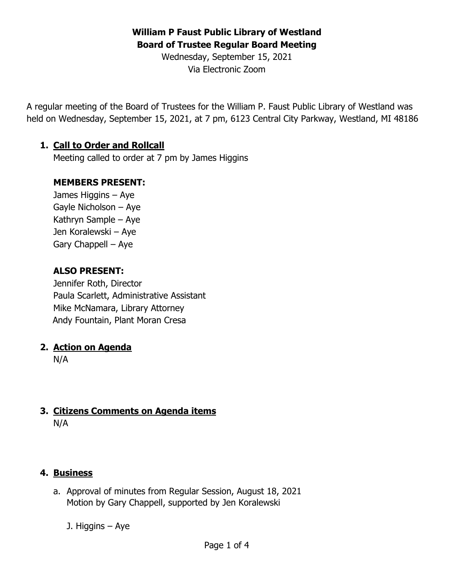## **William P Faust Public Library of Westland Board of Trustee Regular Board Meeting**

Wednesday, September 15, 2021 Via Electronic Zoom

A regular meeting of the Board of Trustees for the William P. Faust Public Library of Westland was held on Wednesday, September 15, 2021, at 7 pm, 6123 Central City Parkway, Westland, MI 48186

#### **1. Call to Order and Rollcall**

Meeting called to order at 7 pm by James Higgins

#### **MEMBERS PRESENT:**

James Higgins – Aye Gayle Nicholson – Aye Kathryn Sample – Aye Jen Koralewski – Aye Gary Chappell – Aye

#### **ALSO PRESENT:**

Jennifer Roth, Director Paula Scarlett, Administrative Assistant Mike McNamara, Library Attorney Andy Fountain, Plant Moran Cresa

#### **2. Action on Agenda**

N/A

# **3. Citizens Comments on Agenda items**

N/A

### **4. Business**

- a. Approval of minutes from Regular Session, August 18, 2021 Motion by Gary Chappell, supported by Jen Koralewski
	- J. Higgins Aye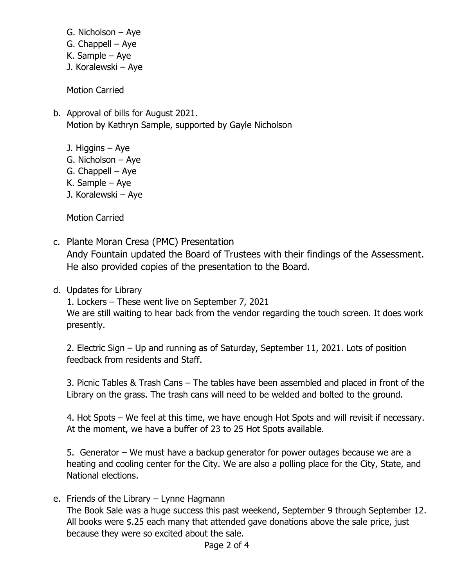- G. Nicholson Aye
- G. Chappell Aye
- K. Sample Aye
- J. Koralewski Aye

Motion Carried

- b. Approval of bills for August 2021. Motion by Kathryn Sample, supported by Gayle Nicholson
	- J. Higgins Aye
	- G. Nicholson Aye
	- G. Chappell Aye
	- K. Sample Aye
	- J. Koralewski Aye

Motion Carried

- c. Plante Moran Cresa (PMC) Presentation Andy Fountain updated the Board of Trustees with their findings of the Assessment. He also provided copies of the presentation to the Board.
- d. Updates for Library

1. Lockers – These went live on September 7, 2021 We are still waiting to hear back from the vendor regarding the touch screen. It does work presently.

2. Electric Sign – Up and running as of Saturday, September 11, 2021. Lots of position feedback from residents and Staff.

3. Picnic Tables & Trash Cans – The tables have been assembled and placed in front of the Library on the grass. The trash cans will need to be welded and bolted to the ground.

4. Hot Spots – We feel at this time, we have enough Hot Spots and will revisit if necessary. At the moment, we have a buffer of 23 to 25 Hot Spots available.

5. Generator – We must have a backup generator for power outages because we are a heating and cooling center for the City. We are also a polling place for the City, State, and National elections.

e. Friends of the Library – Lynne Hagmann

The Book Sale was a huge success this past weekend, September 9 through September 12. All books were \$.25 each many that attended gave donations above the sale price, just because they were so excited about the sale.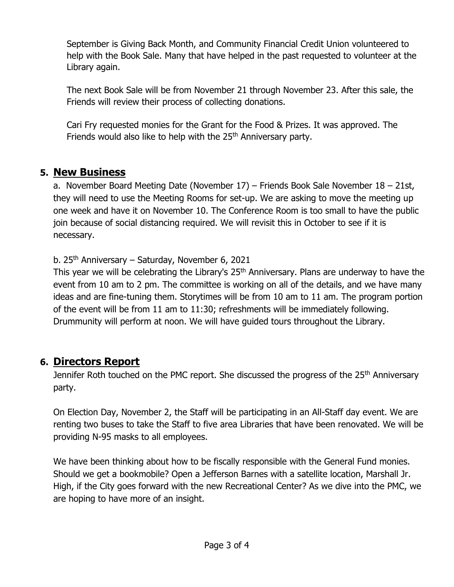September is Giving Back Month, and Community Financial Credit Union volunteered to help with the Book Sale. Many that have helped in the past requested to volunteer at the Library again.

The next Book Sale will be from November 21 through November 23. After this sale, the Friends will review their process of collecting donations.

Cari Fry requested monies for the Grant for the Food & Prizes. It was approved. The Friends would also like to help with the 25<sup>th</sup> Anniversary party.

## **5. New Business**

a. November Board Meeting Date (November 17) – Friends Book Sale November 18 – 21st, they will need to use the Meeting Rooms for set-up. We are asking to move the meeting up one week and have it on November 10. The Conference Room is too small to have the public join because of social distancing required. We will revisit this in October to see if it is necessary.

b. 25<sup>th</sup> Anniversary – Saturday, November 6, 2021

This year we will be celebrating the Library's 25<sup>th</sup> Anniversary. Plans are underway to have the event from 10 am to 2 pm. The committee is working on all of the details, and we have many ideas and are fine-tuning them. Storytimes will be from 10 am to 11 am. The program portion of the event will be from 11 am to 11:30; refreshments will be immediately following. Drummunity will perform at noon. We will have guided tours throughout the Library.

# **6. Directors Report**

Jennifer Roth touched on the PMC report. She discussed the progress of the 25<sup>th</sup> Anniversary party.

On Election Day, November 2, the Staff will be participating in an All-Staff day event. We are renting two buses to take the Staff to five area Libraries that have been renovated. We will be providing N-95 masks to all employees.

We have been thinking about how to be fiscally responsible with the General Fund monies. Should we get a bookmobile? Open a Jefferson Barnes with a satellite location, Marshall Jr. High, if the City goes forward with the new Recreational Center? As we dive into the PMC, we are hoping to have more of an insight.